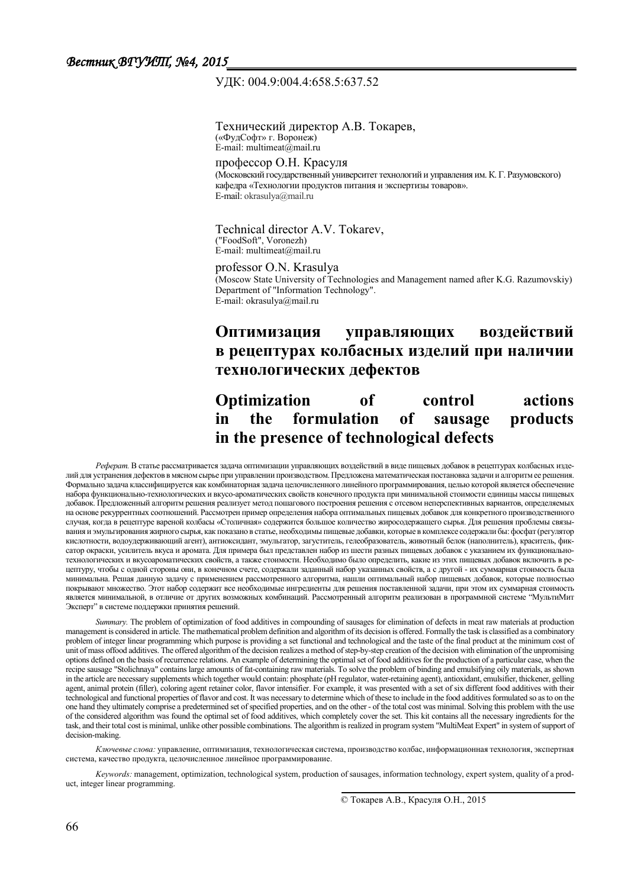## ɍȾК: 004.9:004.4:658.5:637.52

Технический директор А.В. Токарев, («ФудСофт» г. Воронеж) E-mail: multimeat $(\hat{a})$ mail.ru

профессор О.Н. Красуля (Московский государственный университет технологий и управления им. К. Г. Разумовского) кафедра «Технологии продуктов питания и экспертизы товаров». E-mail: okrasulva@mail.ru

Technical director A.V. Tokarev, ("FoodSoft", Voronezh)  $E$ -mail: multimeat@mail.ru

profe[ssor O.N. Kras](mailto:av.tokarev@bk.ru)ulya (Moscow State University of Technologies and Management named after K.G. Razumovskiy) Department of "Information Technology". E-mail: okrasulya@mail.ru

## Оптимизация управляющих воздействий **в рецептурах колбасных изделий при наличии** технологических дефектов

# **Optimization of control actions The formulation of sausage products** in the presence of technological defects

Реферат. В статье рассматривается задача оптимизации управляющих воздействий в виде пищевых добавок в рецептурах колбасных изделий для устранения дефектов в мясном сырье при управлении производством. Предложена математическая постановка задачи и алгоритм ее решения. Формально задача классифицируется как комбинаторная задача целочисленного линейного программирования, целью которой является обеспечение набора функционально-технологических и вкусо-ароматических свойств конечного продукта при минимальной стоимости единицы массы пищевых добавок. Предложенный алгоритм решения реализует метод пошагового построения решения с отсевом неперспективных вариантов, определяемых на основе рекуррентных соотношений. Рассмотрен пример определения набора оптимальных пищевых добавок для конкретного производственного случая, когда в рецептуре вареной колбасы «Столичная» содержится большое количество жиросодержащего сырья. Для решения проблемы связывания и эмульгирования жирного сырья, как показано в статье, необходимы пищевые добавки, которые в комплексе содержали бы: фосфат (регулятор кислотности, водоудерживающий агент), антиоксидант, эмульгатор, загуститель, гелеобразователь, животный белок (наполнитель), краситель, фиксатор окраски, усилитель вкуса и аромата. Для примера был представлен набор из шести разных пищевых добавок с указанием их функциональнотехнологических и вкусоароматических свойств, а также стоимости. Необходимо было определить, какие из этих пищевых добавок включить в рецептуру, чтобы с одной стороны они, в конечном счете, содержали заданный набор указанных свойств, а с другой - их суммарная стоимость была минимальна. Решая данную задачу с применением рассмотренного алгоритма, нашли оптимальный набор пищевых добавок, которые полностью покрывают множество. Этот набор содержит все необходимые ингредиенты для решения поставленной задачи, при этом их суммарная стоимость является минимальной, в отличие от других возможных комбинаций. Рассмотренный алгоритм реализован в программной системе "МультиМит Эксперт" в системе поддержки принятия решений.

*Summary*. The problem of optimization of food additives in compounding of sausages for elimination of defects in meat raw materials at production management is considered in article. The mathematical problem definition and algorithm of its decision is offered. Formally the task is classified as a combinatory problem of integer linear programming which purpose is providing a set functional and technological and the taste of the final product at the minimum cost of unit of mass offood additives. The offered algorithm of the decision realizes a method of step-by-step creation of the decision with elimination of the unpromising options defined on the basis of recurrence relations. An example of determining the optimal set of food additives for the production of a particular case, when the recipe sausage "Stolichnaya" contains large amounts of fat-containing raw materials. To solve the problem of binding and emulsifying oily materials, as shown in the article are necessary supplements which together would contain: phosphate (pH regulator, water-retaining agent), antioxidant, emulsifier, thickener, gelling agent, animal protein (filler), coloring agent retainer color, flavor intensifier. For example, it was presented with a set of six different food additives with their technological and functional properties of flavor and cost. It was necessary to determine which of these to include in the food additives formulated so as to on the one hand they ultimately comprise a predetermined set of specified properties, and on the other - of the total cost was minimal. Solving this problem with the use of the considered algorithm was found the optimal set of food additives, which completely cover the set. This kit contains all the necessary ingredients for the task, and their total cost is minimal, unlike other possible combinations. The algorithm is realized in program system "MultiMeat Expert" in system of support of decision-making.

Ключевые слова: управление, оптимизация, технологическая система, производство колбас, информационная технология, экспертная система, качество продукта, целочисленное линейное программирование.

*Keywords:* management, optimization, technological system, production of sausages, information technology, expert system, quality of a product, integer linear programming

© Токарев А.В., Красуля О.Н., 2015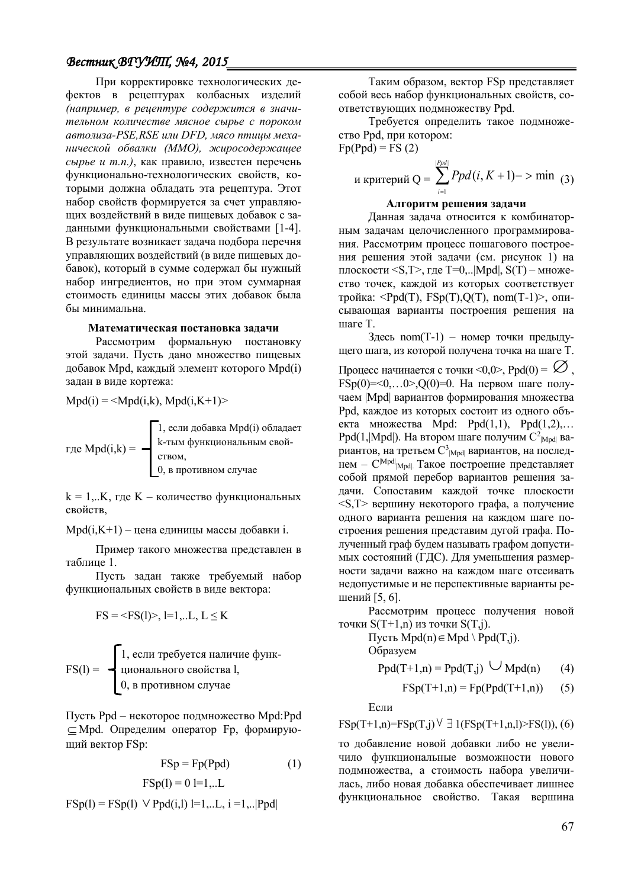## $B$ естник *ВГУИЛ*, №4, 2015

При корректировке технологических дефектов в рецептурах колбасных изделий (например, в рецептуре содержится в значительном количестве мясное сырье с пороком  $a$ втолиза-PSE,RSE или DFD, мясо птииы меха**нической обвалки (ММО), жиросодержащее** сырье и т.п.), как правило, известен перечень функционально-технологических свойств, которыми должна обладать эта рецептура. Этот набор свойств формируется за счет управляющих воздействий в виде пищевых добавок с заданными функциональными свойствами [1-4]. В результате возникает задача подбора перечня управляющих воздействий (в виде пищевых добавок), который в сумме содержал бы нужный набор ингредиентов, но при этом суммарная стоимость единицы массы этих добавок была бы минимальна

#### **Математическая постановка задачи**

Рассмотрим формальную постановку этой залачи. Пусть лано множество пишевых добавок Mpd, каждый элемент которого Mpd(i) задан в виде кортежа:

 $Mpd(i) = \langle Mpd(i,k), Mpd(i,K+1) \rangle$ 

$$
\text{где } \text{Mpd}(i,k) = \begin{cases} 1, \text{если добавка } \text{Mpd}(i) \text{ обладает} \\ \text{k-тым функциональным свой-} \\ \text{ством,} \\ 0, \text{ в противном служе} \end{cases}
$$

 $k = 1...K$ , где  $K -$ количество функциональных свойств,

 $Mpd(i,K+1) - \text{qena единuцы массы добавки i.}$ 

Пример такого множества представлен в таблине 1

Пусть задан также требуемый набор функциональных свойств в виде вектора:

 $FS = \langle FS(1) > 1 = 1,...L, L \leq K$ 

$$
FS(I) = \begin{cases} 1, \text{если требyerся наличие функци de } I, \\ \text{ционального свойства I,} \\ 0, \text{ в противном служе} \end{cases}
$$

Пусть Ppd – некоторое подмножество Mpd:Ppd ⊂ Mpd. Определим оператор Fp, формирующий вектор FSp:

$$
FSp = Fp(Ppd)
$$
 (1)

$$
FSp(1) = 0 1 = 1,...L
$$

 $FSp(1) = FSp(1)$   $\vee$  Ppd(i,l) l=1,..L, i =1,... |Ppd|

Таким образом, вектор FSp представляет собой весь набор функциональных свойств, соответствующих подмножеству Ppd.

Требуется определить такое подмножество Ppd, при котором:  $Fp(Ppd) = FS(2)$ 

и критерий 
$$
Q = \sum_{i=1}^{|Ppd|} Ppd(i, K+1) \to \min (3)
$$

#### Алгоритм решения задачи

Данная задача относится к комбинаторным задачам целочисленного программирования. Рассмотрим процесс пошагового построения решения этой задачи (см. рисунок 1) на плоскости <S,T>, где T=0,.. $|Mpd|$ , S(T) – множество точек, каждой из которых соответствует тройка: <Ppd(T),  $FSp(T),Q(T)$ , nom(T-1)>, описывающая варианты построения решения на mare T.

 $3 \text{mech}$  nom(T-1) – номер точки предыдущего шага, из которой получена точка на шаге Т.

Процесс начинается с точки <0,0>, Ppd(0) =  $\emptyset$ ,  $\text{FSp}(0)=0$ ,  $\text{O}(0)=0$ . На первом шаге получаем | Mpd | вариантов формирования множества Ppd, каждое из которых состоит из одного объекта множества Mpd: Ppd $(1,1)$ , Ppd $(1,2)$ ,...  $Ppd(1, |Mpd|)$ . На втором шаге получим  $C^2_{Mpd}$  вариантов, на третьем  $\mathrm{C}^3{}_{\mathrm{[Mpd]}}$  вариантов, на последнем –  $C^{[Mpd]}$ <sub>Mpd</sub> Такое построение представляет собой прямой перебор вариантов решения задачи. Сопоставим каждой точке плоскости  $\leq$ S,T $>$  вершину некоторого графа, а получение одного варианта решения на каждом шаге построения решения представим дугой графа. Полученный граф будем называть графом допустимых состояний (ГДС). Для уменьшения размерности задачи важно на каждом шаге отсеивать недопустимые и не перспективные варианты решений [5, 6].

Рассмотрим процесс получения новой точки  $S(T+1,n)$  из точки  $S(T,i)$ .

Пусть Mpd(n)∈ Mpd \ Ppd(T,j). Образуем

$$
Ppd(T+1,n) = Ppd(T,j) \cup Mpd(n) \qquad (4)
$$

$$
FSp(T+1,n) = Fp(Ppd(T+1,n)) \qquad (5)
$$

Если

$$
FSp(T+1,n)=FSp(T,j) \vee \exists 1(FSp(T+1,n,l) > FS(l)), (6)
$$

то добавление новой добавки либо не увеличило функциональные возможности нового подмножества, а стоимость набора увеличилась, либо новая добавка обеспечивает лишнее функциональное свойство. Такая вершина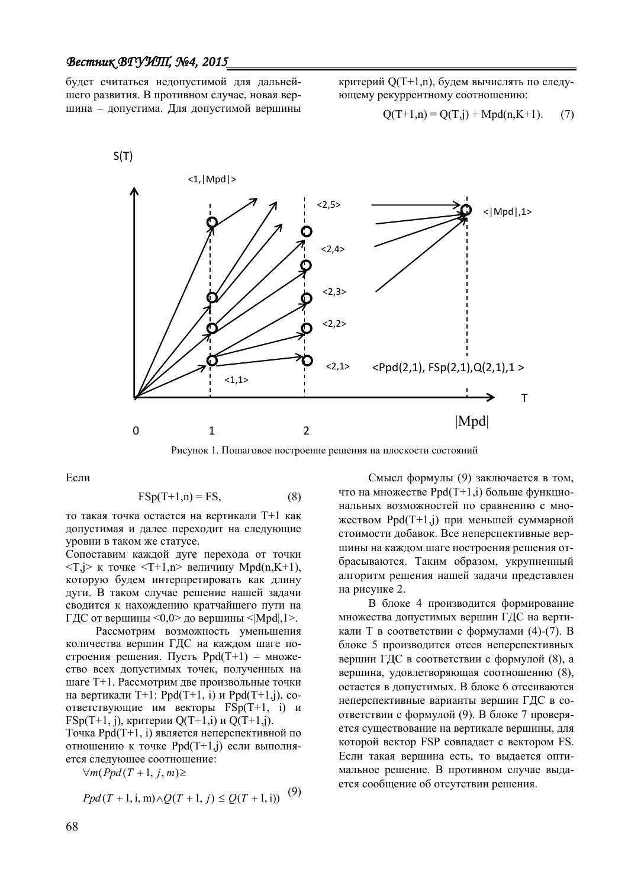## *ǰеȟȠник ǰDZȁИȀ, №4, 2015*

будет считаться недопустимой для дальнейшего развития. В противном случае, новая вершина – допустима. Для допустимой вершины

критерий Q(T+1,n), будем вычислять по следующему рекуррентному соотношению:

$$
Q(T+1,n) = Q(T,j) + Mpd(n,K+1). \tag{7}
$$



Рисунок 1. Пошаговое построение решения на плоскости состояний

Если

$$
FSp(T+1,n) = FS,
$$
 (8)

то такая точка остается на вертикали T+1 как допустимая и далее переходит на следующие уровни в таком же статусе.

Сопоставим каждой дуге перехода от точки  $\langle T, j \rangle$  к точке  $\langle T+1, n \rangle$  величину Mpd(n,K+1), которую будем интерпретировать как длину дуги. В таком случае решение нашей задачи сводится к нахождению кратчайшего пути на  $\Gamma$ ДС от вершины <0.0> до вершины < $\text{Mod}$ ,1>.

Рассмотрим возможность уменьшения количества вершин ГДС на каждом шаге построения решения. Пусть  $Ppd(T+1)$  – множество всех допустимых точек, полученных на шаге Т+1. Рассмотрим две произвольные точки на вертикали  $T+1$ : Ppd(T+1, i) и Ppd(T+1, j), coответствующие им векторы  $\text{FSp}(T+1, i)$  и  $FSp(T+1, i)$ , критерии  $Q(T+1,i)$  и  $Q(T+1,i)$ .

Точка Ppd(T+1, i) является неперспективной по отношению к точке Ppd(T+1,j) если выполняется следующее соотношение:

 $\forall m (Ppd(T+1, j, m) \geq$ 

$$
Ppd(T + 1, i, m) \wedge Q(T + 1, j) \le Q(T + 1, i))
$$
 (9)

Смысл формулы (9) заключается в том, что на множестве  $Ppd(T+1,i)$  больше функциональных возможностей по сравнению с множеством  $Ppd(T+1,i)$  при меньшей суммарной стоимости добавок. Все неперспективные вершины на каждом шаге построения решения отбрасываются. Таким образом, укрупненный алгоритм решения нашей задачи представлен на рисунке 2.

В блоке 4 производится формирование множества допустимых вершин ГДС на вертикали Т в соответствии с формулами  $(4)-(7)$ . В блоке 5 производится отсев неперспективных вершин ГДС в соответствии с формулой (8), а вершина, удовлетворяющая соотношению (8), остается в допустимых. В блоке 6 отсеиваются неперспективные варианты вершин ГДС в соответствии с формулой (9). В блоке 7 проверяется существование на вертикале вершины, для которой вектор FSP совпадает с вектором FS. Если такая вершина есть, то выдается оптимальное решение. В противном случае выдается сообщение об отсутствии решения.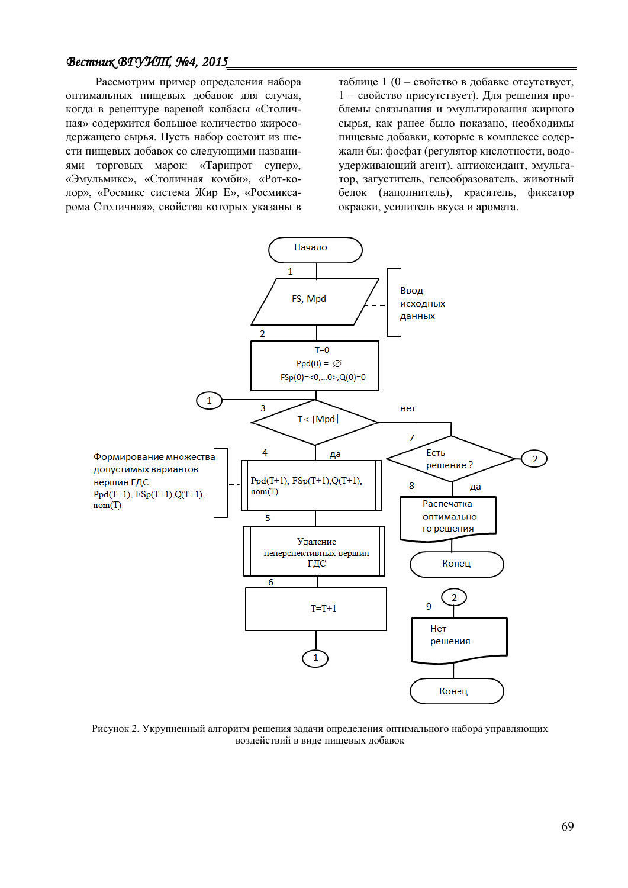## *ǰеȟȠник ǰDZȁИȀ, №4, 2015*

Рассмотрим пример определения набора оптимальных пищевых добавок для случая, когда в рецептуре вареной колбасы «Столичная» содержится большое количество жиросодержащего сырья. Пусть набор состоит из шести пищевых добавок со следующими названиями торговых марок: «Тарипрот супер», «Эмульмикс», «Столичная комби», «Рот-колор», «Росмикс система Жир Е», «Росмиксарома Столичная», свойства которых указаны в таблице 1 (0 – свойство в добавке отсутствует, 1 – свойство присутствует). Для решения проблемы связывания и эмульгирования жирного сырья, как ранее было показано, необходимы пищевые добавки, которые в комплексе содержали бы: фосфат (регулятор кислотности, водоудерживающий агент), антиоксидант, эмульгатор, загуститель, гелеобразователь, животный белок (наполнитель), краситель, фиксатор окраски, усилитель вкуса и аромата.



Рисунок 2. Укрупненный алгоритм решения задачи определения оптимального набора управляющих воздействий в виде пищевых добавок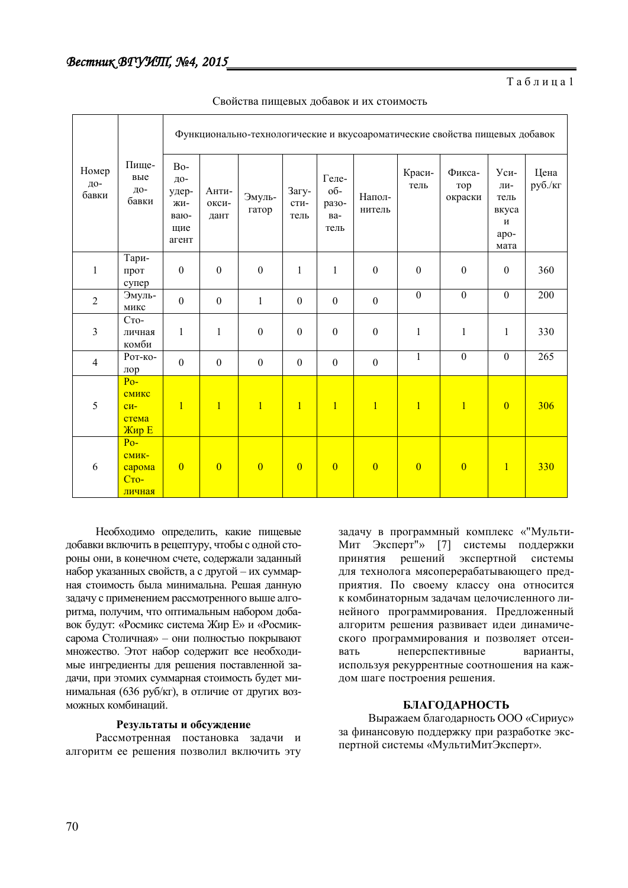Таблина 1

| Номер<br>до-<br>бавки | Пище-<br>вые<br>до-<br>бавки                            | Функционально-технологические и вкусоароматические свойства пищевых добавок |                        |                  |                       |                                      |                  |                  |                          |                                                         |                 |
|-----------------------|---------------------------------------------------------|-----------------------------------------------------------------------------|------------------------|------------------|-----------------------|--------------------------------------|------------------|------------------|--------------------------|---------------------------------------------------------|-----------------|
|                       |                                                         | B <sub>o</sub> -<br>ДО-<br>удер-<br>ЖИ-<br>ваю-<br>щие<br>агент             | Анти-<br>окси-<br>дант | Эмуль-<br>гатор  | Загу-<br>сти-<br>тель | Геле-<br>об-<br>разо-<br>Ba-<br>тель | Напол-<br>нитель | Краси-<br>тель   | Фикса-<br>тор<br>окраски | $y_{cM}$ -<br>ЛИ-<br>тель<br>вкуса<br>И<br>apo-<br>мата | Цена<br>руб./кг |
| $\mathbf{1}$          | Тари-<br>прот<br>супер                                  | $\boldsymbol{0}$                                                            | $\boldsymbol{0}$       | $\boldsymbol{0}$ | $\mathbf{1}$          | $\mathbf{1}$                         | $\boldsymbol{0}$ | $\boldsymbol{0}$ | $\boldsymbol{0}$         | $\boldsymbol{0}$                                        | 360             |
| $\sqrt{2}$            | Эмуль-<br>микс                                          | $\boldsymbol{0}$                                                            | $\boldsymbol{0}$       | $\mathbf{1}$     | $\boldsymbol{0}$      | $\boldsymbol{0}$                     | $\boldsymbol{0}$ | $\mathbf{0}$     | $\overline{0}$           | $\mathbf{0}$                                            | 200             |
| $\mathfrak{Z}$        | $C_{TO}$ -<br>личная<br>комби                           | $\mathbf{1}$                                                                | $\mathbf{1}$           | $\boldsymbol{0}$ | $\boldsymbol{0}$      | $\boldsymbol{0}$                     | $\boldsymbol{0}$ | $\mathbf{1}$     | $\mathbf{1}$             | $\mathbf{1}$                                            | 330             |
| $\overline{4}$        | Рот-ко-<br>лор                                          | $\boldsymbol{0}$                                                            | $\boldsymbol{0}$       | $\boldsymbol{0}$ | $\boldsymbol{0}$      | $\boldsymbol{0}$                     | $\boldsymbol{0}$ | $\mathbf{1}$     | $\overline{0}$           | $\mathbf{0}$                                            | 265             |
| $\sqrt{5}$            | $Po-$<br>смикс<br>$CM-$<br>стема<br>Жир Е               | $\mathbf{1}$                                                                | $\overline{1}$         | $\overline{1}$   | $\mathbf{1}$          | $\overline{1}$                       | $\overline{1}$   | $\overline{1}$   | $\overline{1}$           | $\overline{0}$                                          | 306             |
| 6                     | $Po-$<br>СМИК-<br>сарома<br>C <sub>TO</sub> -<br>личная | $\overline{0}$                                                              | $\overline{0}$         | $\overline{0}$   | $\overline{0}$        | $\overline{0}$                       | $\overline{0}$   | $\overline{0}$   | $\overline{0}$           | $\mathbf{1}$                                            | 330             |

Свойства пищевых добавок и их стоимость

Необходимо определить, какие пищевые добавки включить в рецептуру, чтобы с одной стороны они, в конечном счете, содержали заданный набор указанных свойств, а с другой - их суммарная стоимость была минимальна. Решая данную задачу с применением рассмотренного выше алгоритма, получим, что оптимальным набором добавок будут: «Росмикс система Жир Е» и «Росмиксарома Столичная» – они полностью покрывают множество. Этот набор содержит все необходимые ингредиенты для решения поставленной задачи, при этомих суммарная стоимость будет минимальная (636 руб/кг), в отличие от других возможных комбинаций.

#### Результаты и обсуждение

Рассмотренная постановка задачи и алгоритм ее решения позволил включить эту задачу в программный комплекс «"Мульти-Мит Эксперт"» [7] системы поддержки принятия решений экспертной системы для технолога мясоперерабатывающего предприятия. По своему классу она относится к комбинаторным задачам целочисленного линейного программирования. Предложенный алгоритм решения развивает идеи динамического программирования и позволяет отсеивать неперспективные варианты, используя рекуррентные соотношения на каждом шаге построения решения.

## **БЛАГОДАРНОСТЬ**

Выражаем благодарность ООО «Сириус» за финансовую поддержку при разработке экспертной системы «МультиМитЭксперт».